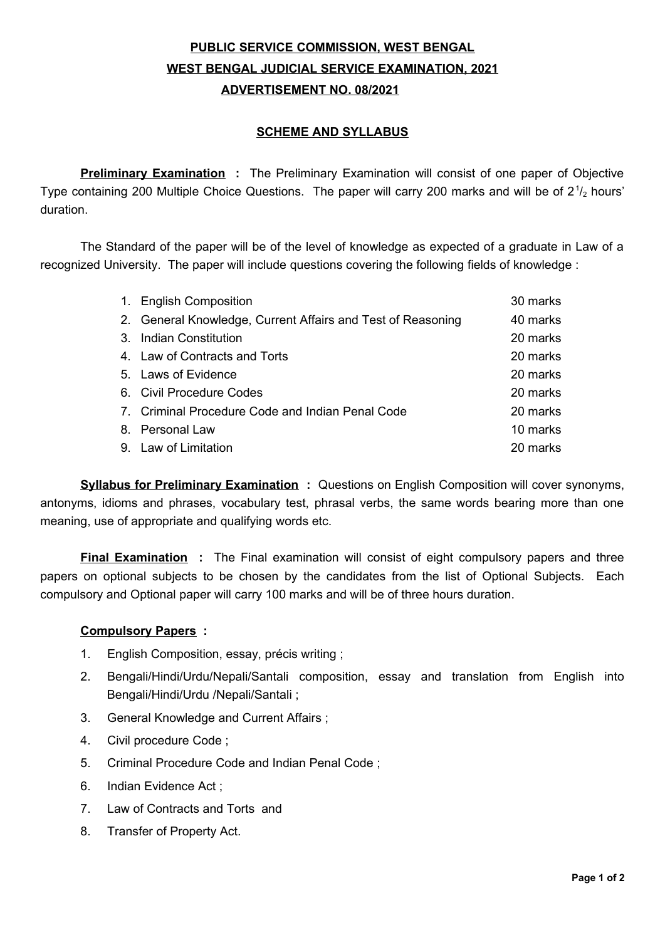# **PUBLIC SERVICE COMMISSION, WEST BENGAL WEST BENGAL JUDICIAL SERVICE EXAMINATION, 2021 ADVERTISEMENT NO. 08/2021**

#### **SCHEME AND SYLLABUS**

**Preliminary Examination** : The Preliminary Examination will consist of one paper of Objective Type containing 200 Multiple Choice Questions. The paper will carry 200 marks and will be of 2 $\frac{1}{2}$  hours' duration.

The Standard of the paper will be of the level of knowledge as expected of a graduate in Law of a recognized University. The paper will include questions covering the following fields of knowledge :

| 1. English Composition                                      | 30 marks |
|-------------------------------------------------------------|----------|
| 2. General Knowledge, Current Affairs and Test of Reasoning | 40 marks |
| 3. Indian Constitution                                      | 20 marks |
| 4. Law of Contracts and Torts                               | 20 marks |
| 5. Laws of Evidence                                         | 20 marks |
| 6. Civil Procedure Codes                                    | 20 marks |
| 7. Criminal Procedure Code and Indian Penal Code            | 20 marks |
| 8. Personal Law                                             | 10 marks |
| 9. Law of Limitation                                        | 20 marks |

**Syllabus for Preliminary Examination :** Questions on English Composition will cover synonyms, antonyms, idioms and phrases, vocabulary test, phrasal verbs, the same words bearing more than one meaning, use of appropriate and qualifying words etc.

**Final Examination :** The Final examination will consist of eight compulsory papers and three papers on optional subjects to be chosen by the candidates from the list of Optional Subjects. Each compulsory and Optional paper will carry 100 marks and will be of three hours duration.

## **Compulsory Papers :**

- 1. English Composition, essay, précis writing ;
- 2. Bengali/Hindi/Urdu/Nepali/Santali composition, essay and translation from English into Bengali/Hindi/Urdu /Nepali/Santali ;
- 3. General Knowledge and Current Affairs ;
- 4. Civil procedure Code ;
- 5. Criminal Procedure Code and Indian Penal Code ;
- 6. Indian Evidence Act ;
- 7. Law of Contracts and Torts and
- 8. Transfer of Property Act.